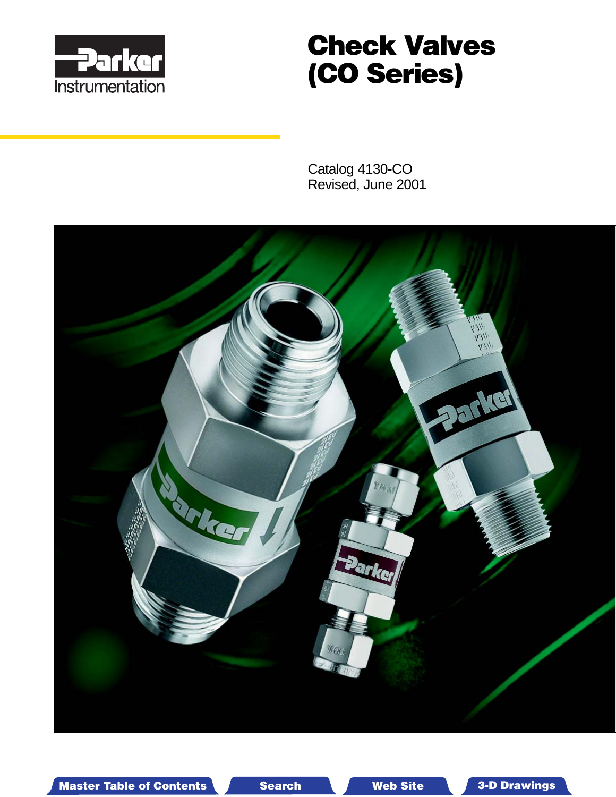

# **Check Valves (CO Series)**

Catalog 4130-CO Revised, June 2001



Master Table of Contents **3. Dearch Master Table of Contents 3-D Drawings 3-D Drawings** 

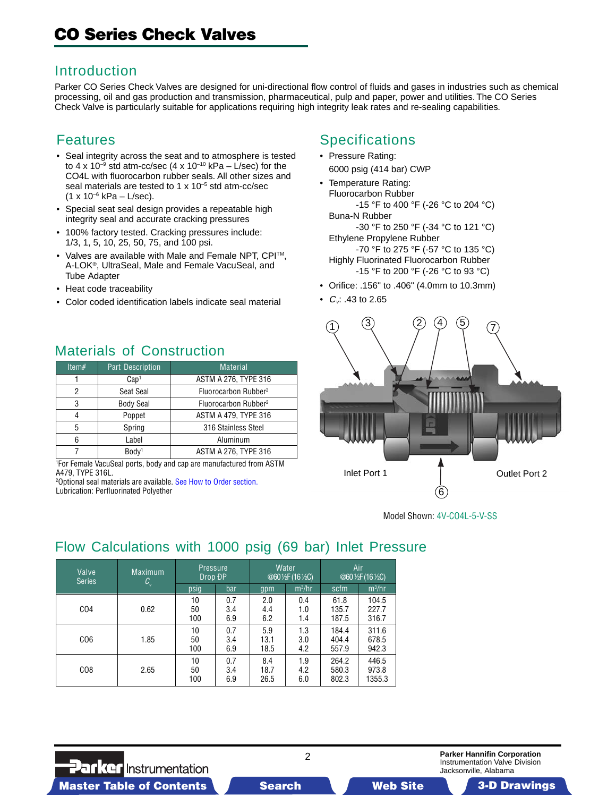### Introduction

Parker CO Series Check Valves are designed for uni-directional flow control of fluids and gases in industries such as chemical processing, oil and gas production and transmission, pharmaceutical, pulp and paper, power and utilities. The CO Series Check Valve is particularly suitable for applications requiring high integrity leak rates and re-sealing capabilities.

### Features

- Seal integrity across the seat and to atmosphere is tested to 4 x 10<sup>-9</sup> std atm-cc/sec (4 x 10<sup>-10</sup> kPa – L/sec) for the CO4L with fluorocarbon rubber seals. All other sizes and seal materials are tested to 1 x 10<sup>-5</sup> std atm-cc/sec  $(1 x 10^{-6} kPa - L/sec).$
- Special seat seal design provides a repeatable high integrity seal and accurate cracking pressures
- 100% factory tested. Cracking pressures include: 1/3, 1, 5, 10, 25, 50, 75, and 100 psi.
- Valves are available with Male and Female NPT, CPITM, A-LOK®, UltraSeal, Male and Female VacuSeal, and Tube Adapter
- Heat code traceability
- Color coded identification labels indicate seal material

# Materials of Construction

| Item $#$ | <b>Part Description</b> | <b>Material</b>                  |  |  |  |
|----------|-------------------------|----------------------------------|--|--|--|
|          | Cap <sup>1</sup>        | ASTM A 276, TYPE 316             |  |  |  |
| 2        | Seat Seal               | Fluorocarbon Rubber <sup>2</sup> |  |  |  |
| 3        | <b>Body Seal</b>        | Fluorocarbon Rubber <sup>2</sup> |  |  |  |
| 4        | Poppet                  | <b>ASTM A 479, TYPE 316</b>      |  |  |  |
| 5        | Spring                  | 316 Stainless Steel              |  |  |  |
| 6        | Label                   | Aluminum                         |  |  |  |
|          | Body <sup>1</sup>       | ASTM A 276, TYPE 316             |  |  |  |

1 For Female VacuSeal ports, bo[dy and cap are manufactured from AST](#page-3-0)M A479, TYPE 316L.

<sup>2</sup>Optional seal materials are available. <mark>See How to Order section</mark>. Lubrication: Perfluorinated Polyether

# **Specifications**

- Pressure Rating: 6000 psig (414 bar) CWP
- Temperature Rating: Fluorocarbon Rubber -15 °F to 400 °F (-26 °C to 204 °C) Buna-N Rubber -30 °F to 250 °F (-34 °C to 121 °C) Ethylene Propylene Rubber

-70 °F to 275 °F (-57 °C to 135 °C) Highly Fluorinated Fluorocarbon Rubber -15 °F to 200 °F (-26 °C to 93 °C)

- Orifice: .156" to .406" (4.0mm to 10.3mm)
- $C_v$ : .43 to 2.65



Model Shown: 4V-CO4L-5-V-SS

# Flow Calculations with 1000 psig (69 bar) Inlet Pressure

| Valve<br><b>Series</b> | <b>Maximum</b><br>$\mathcal{C}_{\mathsf{v}}$ | <b>Pressure</b><br>Drop ĐP |                   |                     | <b>Water</b><br>@601/ <sub>2</sub> F (161/ <sub>2</sub> C) | Air<br>@601/ <sub>2</sub> F (161/ <sub>2</sub> C) |                          |  |
|------------------------|----------------------------------------------|----------------------------|-------------------|---------------------|------------------------------------------------------------|---------------------------------------------------|--------------------------|--|
|                        |                                              | psig                       | bar               | gpm                 | $m^3/hr$                                                   | scfm                                              | $m^3/hr$                 |  |
| CO <sub>4</sub>        | 0.62                                         | 10<br>50<br>100            | 0.7<br>3.4<br>6.9 | 2.0<br>4.4<br>6.2   | 0.4<br>1.0<br>1.4                                          | 61.8<br>135.7<br>187.5                            | 104.5<br>227.7<br>316.7  |  |
| CO <sub>6</sub>        | 1.85                                         | 10<br>50<br>100            | 0.7<br>3.4<br>6.9 | 5.9<br>13.1<br>18.5 | 1.3<br>3.0<br>4.2                                          | 184.4<br>404.4<br>557.9                           | 311.6<br>678.5<br>942.3  |  |
| CO8                    | 2.65                                         | 10<br>50<br>100            | 0.7<br>3.4<br>6.9 | 8.4<br>18.7<br>26.5 | 1.9<br>4.2<br>6.0                                          | 264.2<br>580.3<br>802.3                           | 446.5<br>973.8<br>1355.3 |  |

2

**Parker Hannifin Corporation** Instrumentation Valve Division Jacksonville, Alabama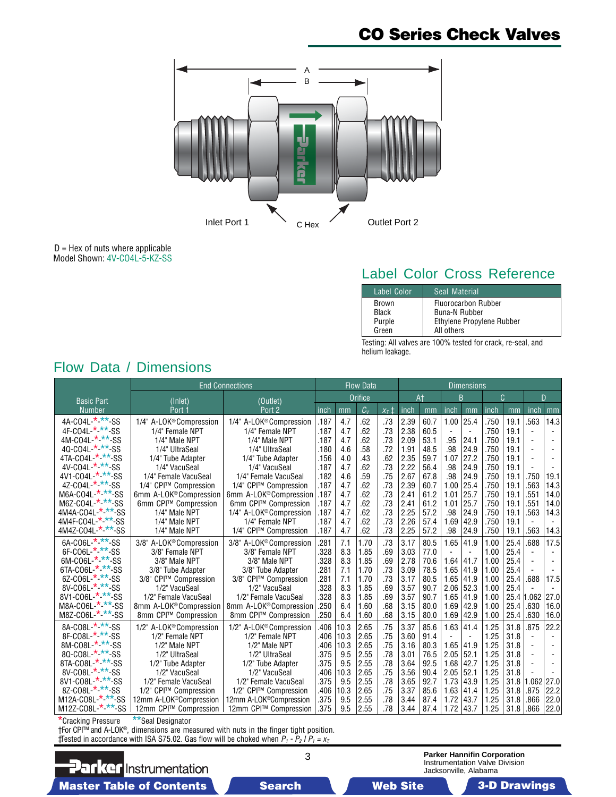# **CO Series Check Valves**



 $D =$  Hex of nuts where applicable Model Shown: 4V-CO4L-5-KZ-SS

# Label Color Cross Reference

| Label Color  | Seal Material              |
|--------------|----------------------------|
| <b>Brown</b> | <b>Fluorocarbon Rubber</b> |
| Black        | Buna-N Rubber              |
| Purple       | Ethylene Propylene Rubber  |
| Green        | All others                 |

Testing: All valves are 100% tested for crack, re-seal, and helium leakage.

|                                        | <b>End Connections</b>              |                                     |      |      | <b>Flow Data</b> |           |      |      | <b>Dimensions</b>        |                          |      |      |                |                          |
|----------------------------------------|-------------------------------------|-------------------------------------|------|------|------------------|-----------|------|------|--------------------------|--------------------------|------|------|----------------|--------------------------|
| <b>Basic Part</b>                      | (Inlet)                             | (Outlet)                            |      |      | <b>Orifice</b>   |           | At   |      | B                        |                          | C    |      | D              |                          |
| <b>Number</b>                          | Port -                              | Port <sub>2</sub>                   | inch | mm   | $C_{V}$          | $x_7 \pm$ | inch | mm   | inch                     | mm                       | inch | mm   | inch           | mm                       |
| 4A-CO4L-*-**-SS                        | 1/4" A-LOK <sup>®</sup> Compression | 1/4" A-LOK <sup>®</sup> Compression | .187 | 4.7  | .62              | .73       | 2.39 | 60.7 | 1.00                     | 25.4                     | .750 | 19.1 | 563            | 14.3                     |
| 4F-C04L-*-**-SS                        | 1/4" Female NPT                     | 1/4" Female NPT                     | .187 | 4.7  | .62              | .73       | 2.38 | 60.5 | $\overline{\phantom{a}}$ | $\overline{\phantom{a}}$ | .750 | 19.1 | $\blacksquare$ |                          |
| 4M-CO4L-*-**<br>-SS                    | 1/4" Male NPT                       | 1/4" Male NPT                       | .187 | 4.7  | .62              | .73       | 2.09 | 53.1 | .95                      | 24.1                     | .750 | 19.1 |                |                          |
| $\star$ $\star$<br>$*$ -SS<br>40-C04L- | 1/4" UltraSeal                      | 1/4" UltraSeal                      | .180 | 4.6  | .58              | .72       | 1.91 | 48.5 | .98                      | 24.9                     | .750 | 19.1 |                |                          |
| '-SS<br>4TA-CO4L-<br>*                 | 1/4" Tube Adapter                   | 1/4" Tube Adapter                   | .156 | 4.0  | .43              | .62       | 2.35 | 59.7 | 1.07                     | 27.2                     | .750 | 19.1 | $\overline{a}$ |                          |
| $4V-CO4L-$<br>-SS                      | 1/4" VacuSeal                       | 1/4" VacuSeal                       | .187 | 4.7  | .62              | .73       | 2.22 | 56.4 | .98                      | 24.9                     | .750 | 19.1 | $\blacksquare$ |                          |
| $-***-SS$<br>4V1-C04L-                 | 1/4" Female VacuSeal                | 1/4" Female VacuSeal                | .182 | 4.6  | .59              | .75       | 2.67 | 67.8 | .98                      | 24.9                     | .750 | 19.1 | .750           | 19.1                     |
| 4Z-CO4L-*-*<br>-SS                     | 1/4" CPI™ Compression               | 1/4" CPI™ Compression               | .187 | 4.7  | .62              | .73       | 2.39 | 60.7 | 1.00                     | 25.4                     | .750 | 19.1 | 563            | 14.3                     |
| M6A-CO4L-*-*<br>* ss                   | 6mm A-LOK <sup>®</sup> Compression  | 6mm A-LOK®Compression               | .187 | 4.7  | .62              | .73       | 2.41 | 61.2 | 1.01                     | 25.7                     | .750 | 19.1 | .551           | 14.0                     |
| '-SS<br>M6Z-CO4L-                      | 6mm CPI™ Compression                | 6mm CPI™ Compression                | .187 | 4.7  | .62              | .73       | 2.41 | 61.2 | 1.01                     | 25.7                     | .750 | 19.1 | .551           | 14.0                     |
| '-SS<br>4M4A-CO4L-                     | 1/4" Male NPT                       | 1/4" A-LOK <sup>®</sup> Compression | .187 | 4.7  | .62              | .73       | 2.25 | 57.2 | .98                      | 24.9                     | .750 | 19.1 | .563           | 14.3                     |
| 4M4F-CO4L-*-**-SS                      | 1/4" Male NPT                       | 1/4" Female NPT                     | .187 | 4.7  | .62              | .73       | 2.26 | 57.4 | 1.69                     | 42.9                     | .750 | 19.1 | $\blacksquare$ | $\overline{\phantom{a}}$ |
| $***$ -SS<br>4M4Z-CO4L-                | 1/4" Male NPT                       | 1/4" CPI™ Compression               | .187 | 4.7  | .62              | .73       | 2.25 | 57.2 | .98                      | 24.9                     | .750 | 19.1 | .563           | 14.3                     |
| 6A-CO6L-*-**-SS                        | 3/8" A-LOK® Compression             | 3/8" A-LOK <sup>®</sup> Compression | .281 | 7.1  | 1.70             | .73       | 3.17 | 80.5 | 1.65                     | 41.9                     | 1.00 | 25.4 | .688           | 17.5                     |
| $*$ -SS<br>$6F-CO6L-$                  | 3/8" Female NPT                     | 3/8" Female NPT                     | .328 | 8.3  | 1.85             | .69       | 3.03 | 77.0 | $\overline{\phantom{a}}$ | $\blacksquare$           | 1.00 | 25.4 |                |                          |
| * **<br>6M-CO6L-<br>-SS                | 3/8" Male NPT                       | 3/8" Male NPT                       | .328 | 8.3  | 1.85             | .69       | 2.78 | 70.6 | 1.64                     | 41.7                     | 1.00 | 25.4 |                |                          |
| $***-SS$<br>6TA-CO6L-                  | 3/8" Tube Adapter                   | 3/8" Tube Adapter                   | .281 | 7.1  | 1.70             | .73       | 3.09 | 78.5 | 1.65                     | 41.9                     | 1.00 | 25.4 |                |                          |
| 6Z-CO6L-*-**-SS                        | 3/8" CPI™ Compression               | 3/8" CPI™ Compression               | .281 | 7.1  | 1.70             | .73       | 3.17 | 80.5 | 1.65                     | 41.9                     | 1.00 | 25.4 | .688           | 17.5                     |
| 8V-CO6L * **-SS                        | 1/2" VacuSeal                       | 1/2" VacuSeal                       | .328 | 8.3  | 1.85             | .69       | 3.57 | 90.7 | 2.06                     | 52.3                     | 1.00 | 25.4 |                | $\overline{a}$           |
| $**$ -SS<br>8V1-C06L-                  | 1/2" Female VacuSeal                | 1/2" Female VacuSeal                | .328 | 8.3  | 1.85             | .69       | 3.57 | 90.7 | 1.65                     | 41.9                     | 1.00 | 25.4 | .062           | 27.0                     |
| M8A-CO6L-*-**-SS                       | 8mm A-LOK <sup>®</sup> Compression  | 8mm A-LOK <sup>®</sup> Compression  | .250 | 6.4  | 1.60             | .68       | 3.15 | 80.0 | 1.69                     | 42.9                     | 1.00 | 25.4 | .630           | 16.0                     |
| M8Z-CO6L-*-**-SS                       | 8mm CPI™ Compression                | 8mm CPI™ Compression                | .250 | 6.4  | 1.60             | .68       | 3.15 | 80.0 | 1.69                     | 42.9                     | 1.00 | 25.4 | .630           | 16.0                     |
| 8A-CO8L-*-**-SS                        | 1/2" A-LOK <sup>®</sup> Compression | 1/2" A-LOK <sup>®</sup> Compression | .406 | 10.3 | 2.65             | .75       | 3.37 | 85.6 | 1.63                     | 41.4                     | 1.25 | 31.8 | .875           | 22.2                     |
| 8F-C08L-*-**-SS                        | 1/2" Female NPT                     | 1/2" Female NPT                     | .406 | 10.3 | 2.65             | .75       | 3.60 | 91.4 | $\overline{\phantom{a}}$ | $\overline{\phantom{a}}$ | 1.25 | 31.8 | $\blacksquare$ | $\overline{\phantom{a}}$ |
| 8M-CO8L * **-SS                        | 1/2" Male NPT                       | 1/2" Male NPT                       | .406 | 10.3 | 2.65             | .75       | 3.16 | 80.3 | 1.65                     | 41.9                     | 1.25 | 31.8 |                |                          |
| 80-C08L * **<br>-SS                    | 1/2" UltraSeal                      | 1/2" UltraSeal                      | .375 | 9.5  | 2.55             | .78       | 3.01 | 76.5 | 2.05                     | 52.1                     | 1.25 | 31.8 |                |                          |
| 8TA-CO8L-*-**-SS                       | 1/2" Tube Adapter                   | 1/2" Tube Adapter                   | .375 | 9.5  | 2.55             | .78       | 3.64 | 92.5 | 1.68                     | 42.7                     | 1.25 | 31.8 |                |                          |
| 8V-CO8L-*-**-SS                        | 1/2" VacuSeal                       | 1/2" VacuSeal                       | .406 | 10.3 | 2.65             | .75       | 3.56 | 90.4 | 2.05                     | 52.1                     | 1.25 | 31.8 |                |                          |
| $***$ -SS<br>8V1-CO8L-                 | 1/2" Female VacuSeal                | 1/2" Female VacuSeal                | .375 | 9.5  | 2.55             | .78       | 3.65 | 92.7 | 1.73                     | 43.9                     | 1.25 | 31.8 | .062           | 27.0                     |
| $***$ -SS<br>8Z-CO8L-                  | 1/2" CPI™ Compression               | 1/2" CPI™ Compression               | .406 | 10.3 | 2.65             | .75       | 3.37 | 85.6 | 1.63                     | 41.4                     | 1.25 | 31.8 | .875           | 22.2                     |
| $***$ -SS<br>M12A-CO8L-                | 12mm A-LOK <sup>®</sup> Compression | 12mm A-LOK <sup>®</sup> Compression | .375 | 9.5  | 2.55             | .78       | 3.44 | 87.4 | 1.72                     | 43.7                     | 1.25 | 31.8 | .866           | 22.0                     |
| $.**$ -SS<br>M12Z-CO8L-                | 12mm CPI™ Compression               | 12mm CPI™ Compression               | .375 | 9.5  | 2.55             | .78       | 3.44 | 87.4 | 1.72                     | 43.7                     | 1.25 | 31.8 | .866           | 22.0                     |

Flow Data / Dimensions

\*Cracking Pressure \*\*Seal Designator

†For CPI™ and A-LOK® , dimensions are measured with nuts in the finger tight position. ‡Tested in accordance with ISA S75.02. Gas flow will be choked when  $P_1 - P_2 I P_1 = x_1$ .

**Parker** Instrumentation Master Table of Contents **3. Dearch Master Table of Contents 3-D Drawings Search** Master Table of Contents 3-D Drawings

**Parker Hannifin Corporation** Instrumentation Valve Division Jacksonville, Alabama

3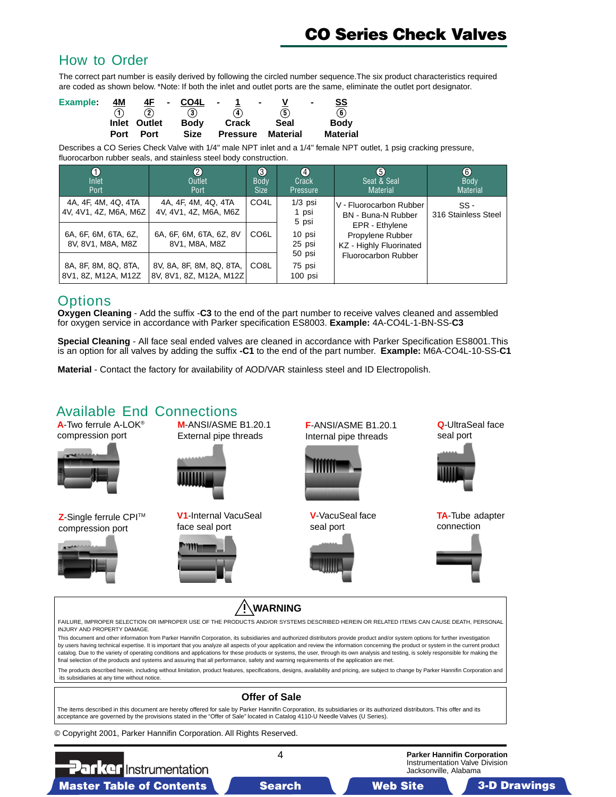# **CO Series Check Valves**

#### <span id="page-3-0"></span>How to Order

The correct part number is easily derived by following the circled number sequence.The six product characteristics required are coded as shown below. \*Note: If both the inlet and outlet ports are the same, eliminate the outlet port designator.

| <b>Example:</b> | <u>4M</u> |               | $4F - CO4L -$ | $\sim$ 100 $\pm$         |      | SS<br>$\sim$           |
|-----------------|-----------|---------------|---------------|--------------------------|------|------------------------|
|                 |           | $\circled{2}$ | $\bf{(3)}$    | (4)                      | (5)  | $\mathbf{\widehat{6}}$ |
|                 |           | Inlet Outlet  | <b>Body</b>   | Crack                    | Seal | <b>Body</b>            |
|                 | Port      | Port          | <b>Size</b>   | <b>Pressure Material</b> |      | Material               |

Describes a CO Series Check Valve with 1/4" male NPT inlet and a 1/4" female NPT outlet, 1 psig cracking pressure, fluorocarbon rubber seals, and stainless steel body construction.

| I<br>Inlet<br>Port                           | $\bf{2}$<br>Outlet<br>Port                          | $\bigcirc$<br><b>Body</b><br><b>Size</b> | $\left( 4\right)$<br>Crack<br>Pressure | 6<br>Seat & Seal<br><b>Material</b>                           | $\bf \odot$<br><b>Body</b><br><b>Material</b> |
|----------------------------------------------|-----------------------------------------------------|------------------------------------------|----------------------------------------|---------------------------------------------------------------|-----------------------------------------------|
| 4A, 4F, 4M, 4Q, 4TA<br>4V, 4V1, 4Z, M6A, M6Z | 4A, 4F, 4M, 4Q, 4TA<br>4V, 4V1, 4Z, M6A, M6Z        | CO <sub>4</sub> L                        | $1/3$ psi<br>1 psi<br>5 psi            | V - Fluorocarbon Rubber<br>BN - Buna-N Rubber                 | $SS -$<br>316 Stainless Steel                 |
| 6A, 6F, 6M, 6TA, 6Z,<br>8V, 8V1, M8A, M8Z    | 6A, 6F, 6M, 6TA, 6Z, 8V<br>8V1, M8A, M8Z            | CO <sub>6</sub> L                        | 10 psi<br>25 psi                       | EPR - Ethylene<br>Propylene Rubber<br>KZ - Highly Fluorinated |                                               |
| 8A, 8F, 8M, 8Q, 8TA,<br>8V1, 8Z, M12A, M12Z  | 8V, 8A, 8F, 8M, 8Q, 8TA,<br>8V, 8V1, 8Z, M12A, M12Z | CO8L                                     | 50 psi<br>75 psi<br>$100$ psi          | Fluorocarbon Rubber                                           |                                               |

#### **Options**

**Oxygen Cleaning** - Add the suffix -**C3** to the end of the part number to receive valves cleaned and assembled for oxygen service in accordance with Parker specification ES8003. **Example:** 4A-CO4L-1-BN-SS-**C3**

**Special Cleaning** - All face seal ended valves are cleaned in accordance with Parker Specification ES8001. This is an option for all valves by adding the suffix **-C1** to the end of the part number. **Example:** M6A-CO4L-10-SS-**C1**

**Material** - Contact the factory for availability of AOD/VAR stainless steel and ID Electropolish.

## Available End Connections

**A**-Two ferrule A-LOK® compression port



**Z**-Single ferrule CPITM compression port



**M**-ANSI/ASME B1.20.1 External pipe threads

**V1**-Internal VacuSeal face seal port



**F**-ANSI/ASME B1.20.1 Internal pipe threads



**V**-VacuSeal face seal port



seal port



**TA**-Tube adapter connection

**Q**-UltraSeal face



 **WARNING** FAILURE, IMPROPER SELECTION OR IMPROPER USE OF THE PRODUCTS AND/OR SYSTEMS DESCRIBED HEREIN OR RELATED ITEMS CAN CAUSE DEATH, PERSONAL INJURY AND PROPERTY DAMAGE.

This document and other information from Parker Hannifin Corporation, its subsidiaries and authorized distributors provide product and/or system options for further investigation by users having technical expertise. It is important that you analyze all aspects of your application and review the information concerning the product or system in the current product catalog. Due to the variety of operating conditions and applications for these products or systems, the user, through its own analysis and testing, is solely responsible for making the final selection of the products and systems and assuring that all performance, safety and warning requirements of the application are met.

The products described herein, including without limitation, product features, specifications, designs, availability and pricing, are subject to change by Parker Hannifin Corporation and its subsidiaries at any time without notice.

#### **Offer of Sale**

The items described in this document are hereby offered for sale by Parker Hannifin Corporation, its subsidiaries or its authorized distributors. This offer and its acceptance are governed by the provisions stated in the "Offer of Sale" located in Catalog 4110-U Needle Valves (U Series).

© Copyright 2001, Parker Hannifin Corporation. All Rights Reserved.

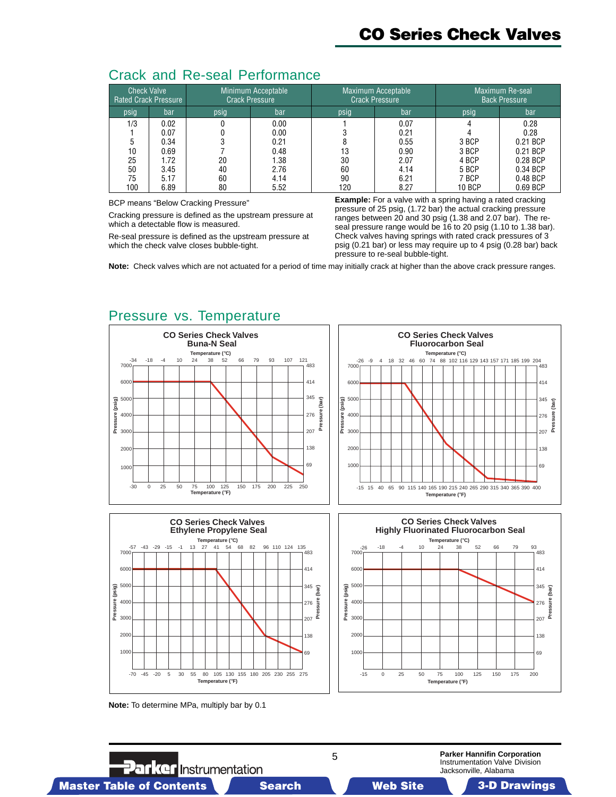|  |  |  | <b>Crack and Re-seal Performance</b> |
|--|--|--|--------------------------------------|
|--|--|--|--------------------------------------|

| <b>Check Valve</b> | <b>Rated Crack Pressure</b> |      | Minimum Acceptable<br><b>Crack Pressure</b> |      | Maximum Acceptable<br><b>Crack Pressure</b> |               | Maximum Re-seal<br><b>Back Pressure</b> |  |  |
|--------------------|-----------------------------|------|---------------------------------------------|------|---------------------------------------------|---------------|-----------------------------------------|--|--|
| psig               | bar                         | psig | bar                                         | psig | bar                                         |               | bar                                     |  |  |
| 1/3                | 0.02                        |      | 0.00                                        |      | 0.07                                        |               | 0.28                                    |  |  |
|                    | 0.07                        |      | 0.00                                        |      | 0.21                                        |               | 0.28                                    |  |  |
|                    | 0.34                        |      | 0.21                                        |      | 0.55                                        | 3 BCP         | 0.21 BCP                                |  |  |
| 10                 | 0.69                        |      | 0.48                                        | 13   | 0.90                                        | 3 BCP         | 0.21 BCP                                |  |  |
| 25                 | 1.72                        | 20   | 1.38                                        | 30   | 2.07                                        | 4 BCP         | 0.28 BCP                                |  |  |
| 50                 | 3.45                        | 40   | 2.76                                        | 60   | 4.14                                        | 5 BCP         | 0.34 BCP                                |  |  |
| 75                 | 5.17                        | 60   | 4.14                                        | 90   | 6.21                                        | 7 BCP         | 0.48 BCP                                |  |  |
| 100                | 6.89                        | 80   | 5.52                                        | 120  | 8.27                                        | <b>10 BCP</b> | 0.69 BCP                                |  |  |

BCP means "Below Cracking Pressure"

Cracking pressure is defined as the upstream pressure at which a detectable flow is measured.

Re-seal pressure is defined as the upstream pressure at which the check valve closes bubble-tight.

**Example:** For a valve with a spring having a rated cracking pressure of 25 psig, (1.72 bar) the actual cracking pressure ranges between 20 and 30 psig (1.38 and 2.07 bar). The reseal pressure range would be 16 to 20 psig (1.10 to 1.38 bar). Check valves having springs with rated crack pressures of 3 psig (0.21 bar) or less may require up to 4 psig (0.28 bar) back pressure to re-seal bubble-tight.

**Note:** Check valves which are not actuated for a period of time may initially crack at higher than the above crack pressure ranges.

### Pressure vs. Temperature







**Note:** To determine MPa, multiply bar by 0.1